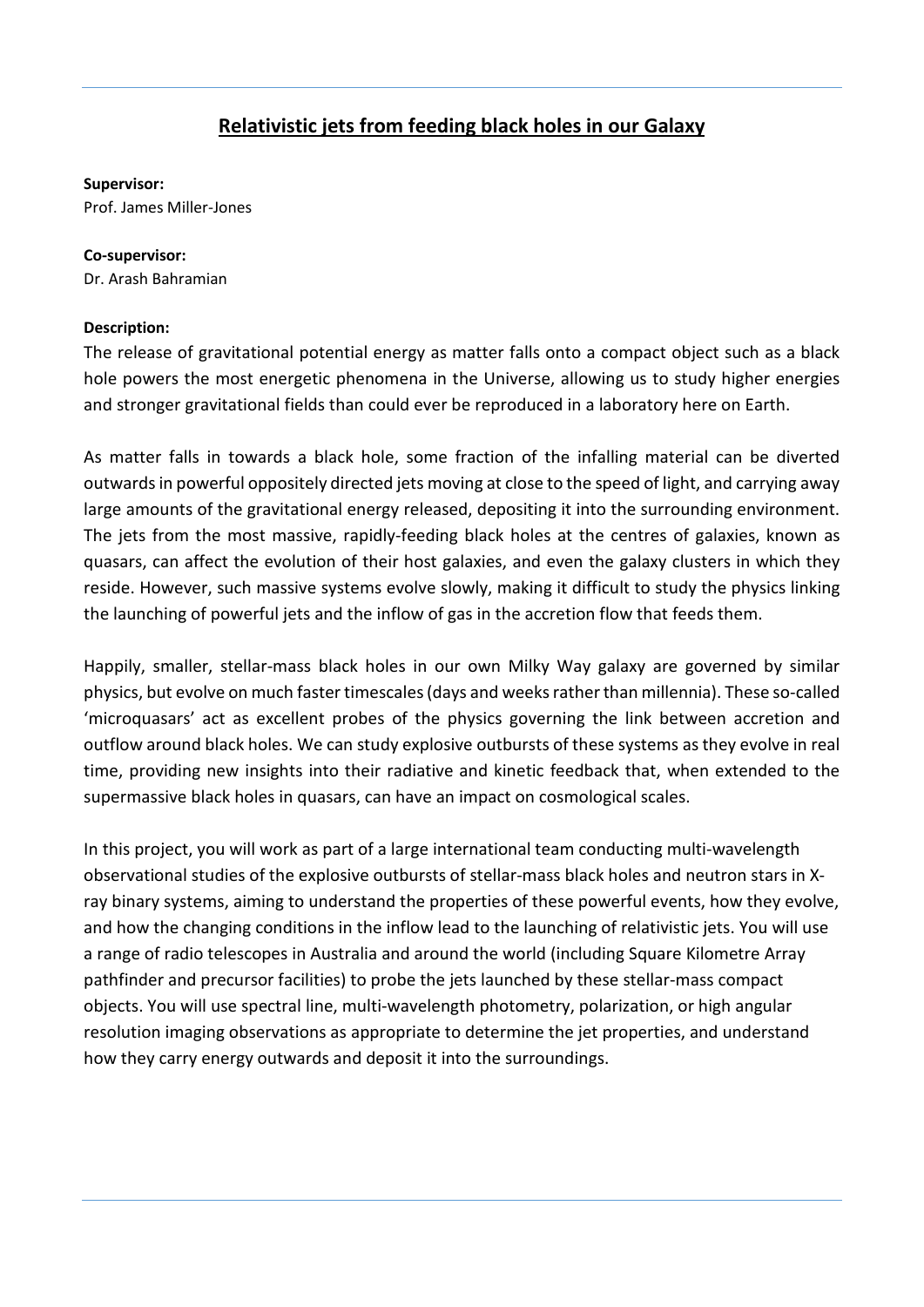## **Relativistic jets from feeding black holes in our Galaxy**

## **Supervisor:**

Prof. James Miller-Jones

## **Co-supervisor:**

Dr. Arash Bahramian

## **Description:**

The release of gravitational potential energy as matter falls onto a compact object such as a black hole powers the most energetic phenomena in the Universe, allowing us to study higher energies and stronger gravitational fields than could ever be reproduced in a laboratory here on Earth.

As matter falls in towards a black hole, some fraction of the infalling material can be diverted outwards in powerful oppositely directed jets moving at close to the speed of light, and carrying away large amounts of the gravitational energy released, depositing it into the surrounding environment. The jets from the most massive, rapidly-feeding black holes at the centres of galaxies, known as quasars, can affect the evolution of their host galaxies, and even the galaxy clusters in which they reside. However, such massive systems evolve slowly, making it difficult to study the physics linking the launching of powerful jets and the inflow of gas in the accretion flow that feeds them.

Happily, smaller, stellar-mass black holes in our own Milky Way galaxy are governed by similar physics, but evolve on much faster timescales (days and weeks rather than millennia). These so-called 'microquasars' act as excellent probes of the physics governing the link between accretion and outflow around black holes. We can study explosive outbursts of these systems as they evolve in real time, providing new insights into their radiative and kinetic feedback that, when extended to the supermassive black holes in quasars, can have an impact on cosmological scales.

In this project, you will work as part of a large international team conducting multi-wavelength observational studies of the explosive outbursts of stellar-mass black holes and neutron stars in Xray binary systems, aiming to understand the properties of these powerful events, how they evolve, and how the changing conditions in the inflow lead to the launching of relativistic jets. You will use a range of radio telescopes in Australia and around the world (including Square Kilometre Array pathfinder and precursor facilities) to probe the jets launched by these stellar-mass compact objects. You will use spectral line, multi-wavelength photometry, polarization, or high angular resolution imaging observations as appropriate to determine the jet properties, and understand how they carry energy outwards and deposit it into the surroundings.